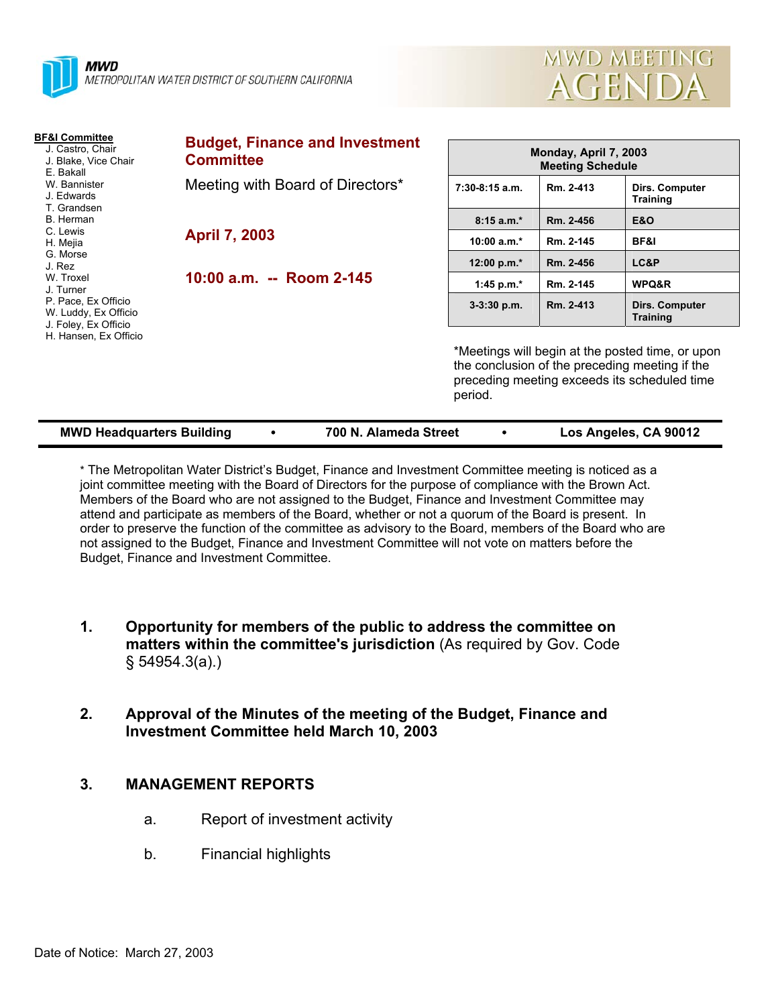

| <b>MWD MEETING</b> |  |
|--------------------|--|
| AGENDA             |  |

| <b>BF&amp;I Committee</b><br>J. Castro, Chair<br>J. Blake, Vice Chair<br>E. Bakall<br>W. Bannister<br>J. Edwards<br>T. Grandsen<br>B. Herman<br>C. Lewis<br>H. Mejia<br>G. Morse<br>J. Rez<br>W. Troxel<br>J. Turner<br>P. Pace, Ex Officio<br>W. Luddy, Ex Officio<br>J. Foley, Ex Officio<br>H. Hansen, Ex Officio | <b>Budget, Finance and Investment</b><br><b>Committee</b> | Monday, April 7, 2003<br><b>Meeting Schedule</b>                                                                                                              |           |                                   |
|----------------------------------------------------------------------------------------------------------------------------------------------------------------------------------------------------------------------------------------------------------------------------------------------------------------------|-----------------------------------------------------------|---------------------------------------------------------------------------------------------------------------------------------------------------------------|-----------|-----------------------------------|
|                                                                                                                                                                                                                                                                                                                      | Meeting with Board of Directors*                          | $7:30-8:15$ a.m.                                                                                                                                              | Rm. 2-413 | Dirs. Computer<br><b>Training</b> |
|                                                                                                                                                                                                                                                                                                                      |                                                           | $8:15a.m.*$                                                                                                                                                   | Rm. 2-456 | <b>E&amp;O</b>                    |
|                                                                                                                                                                                                                                                                                                                      | <b>April 7, 2003</b>                                      | 10:00 $a.m.*$                                                                                                                                                 | Rm. 2-145 | <b>BF&amp;I</b>                   |
|                                                                                                                                                                                                                                                                                                                      |                                                           | 12:00 p.m. $*$                                                                                                                                                | Rm. 2-456 | LC&P                              |
|                                                                                                                                                                                                                                                                                                                      | 10:00 a.m. -- Room 2-145                                  | 1:45 p.m. $*$                                                                                                                                                 | Rm. 2-145 | WPQ&R                             |
|                                                                                                                                                                                                                                                                                                                      |                                                           | $3-3:30$ p.m.                                                                                                                                                 | Rm. 2-413 | Dirs. Computer<br><b>Training</b> |
|                                                                                                                                                                                                                                                                                                                      |                                                           | *Meetings will begin at the posted time, or upon<br>the conclusion of the preceding meeting if the<br>preceding meeting exceeds its scheduled time<br>period. |           |                                   |

| <b>MWD Headquarters Building</b><br>700 N. Alameda Street | Los Angeles, CA 90012 |
|-----------------------------------------------------------|-----------------------|
|-----------------------------------------------------------|-----------------------|

\* The Metropolitan Water District's Budget, Finance and Investment Committee meeting is noticed as a joint committee meeting with the Board of Directors for the purpose of compliance with the Brown Act. Members of the Board who are not assigned to the Budget, Finance and Investment Committee may attend and participate as members of the Board, whether or not a quorum of the Board is present. In order to preserve the function of the committee as advisory to the Board, members of the Board who are not assigned to the Budget, Finance and Investment Committee will not vote on matters before the Budget, Finance and Investment Committee.

- **1. Opportunity for members of the public to address the committee on matters within the committee's jurisdiction** (As required by Gov. Code § 54954.3(a).)
- **2. Approval of the Minutes of the meeting of the Budget, Finance and Investment Committee held March 10, 2003**

### **3. MANAGEMENT REPORTS**

- a. Report of investment activity
- b. Financial highlights